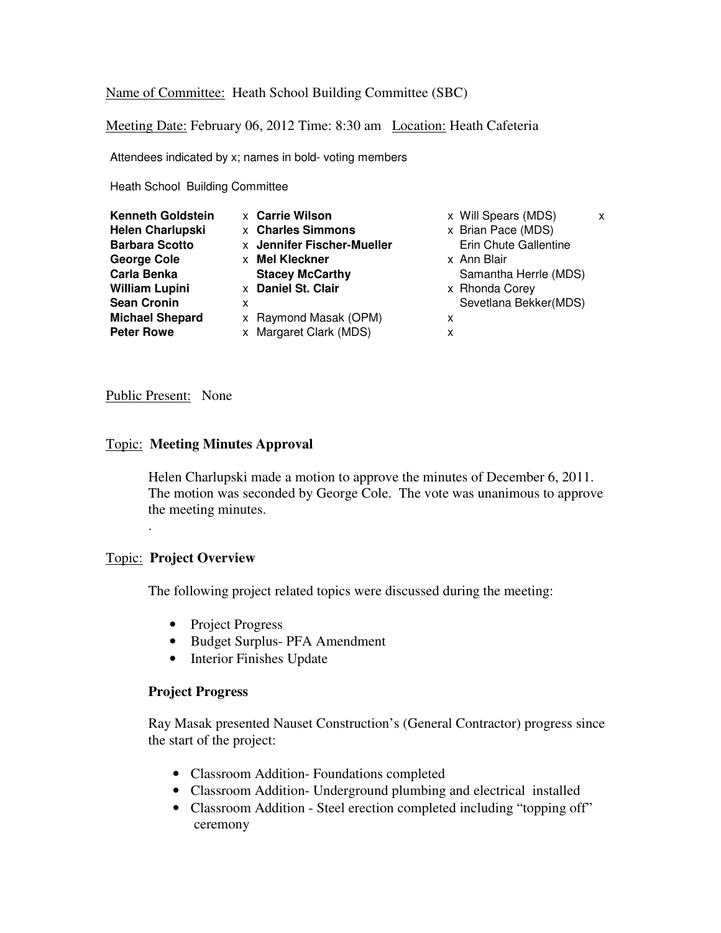Name of Committee: Heath School Building Committee (SBC)

Meeting Date: February 06, 2012 Time: 8:30 am Location: Heath Cafeteria

Attendees indicated by x; names in bold- voting members

Heath School Building Committee

| <b>Kenneth Goldstein</b><br><b>Helen Charlupski</b><br><b>Barbara Scotto</b><br><b>George Cole</b><br><b>Carla Benka</b><br><b>William Lupini</b><br><b>Sean Cronin</b><br><b>Michael Shepard</b> | <b>x</b> Carrie Wilson<br><b>x</b> Charles Simmons<br>x Jennifer Fischer-Mueller<br>Mel Kleckner<br><b>X</b><br><b>Stacey McCarthy</b><br>x Daniel St. Clair<br>x<br>x Raymond Masak (OPM) | x Will Spears (MDS)<br>x Brian Pace (MDS)<br><b>Erin Chute Gallentine</b><br>x Ann Blair<br>Samantha Herrle (MDS)<br>x Rhonda Corey<br>Sevetlana Bekker(MDS)<br>x | x |
|---------------------------------------------------------------------------------------------------------------------------------------------------------------------------------------------------|--------------------------------------------------------------------------------------------------------------------------------------------------------------------------------------------|-------------------------------------------------------------------------------------------------------------------------------------------------------------------|---|
| <b>Peter Rowe</b>                                                                                                                                                                                 | x Margaret Clark (MDS)                                                                                                                                                                     | x                                                                                                                                                                 |   |

## Public Present: None

## Topic: **Meeting Minutes Approval**

Helen Charlupski made a motion to approve the minutes of December 6, 2011. The motion was seconded by George Cole. The vote was unanimous to approve the meeting minutes.

# Topic: **Project Overview**

.

The following project related topics were discussed during the meeting:

- Project Progress
- Budget Surplus- PFA Amendment
- Interior Finishes Update

#### **Project Progress**

Ray Masak presented Nauset Construction's (General Contractor) progress since the start of the project:

- Classroom Addition- Foundations completed
- Classroom Addition- Underground plumbing and electrical installed
- Classroom Addition Steel erection completed including "topping off" ceremony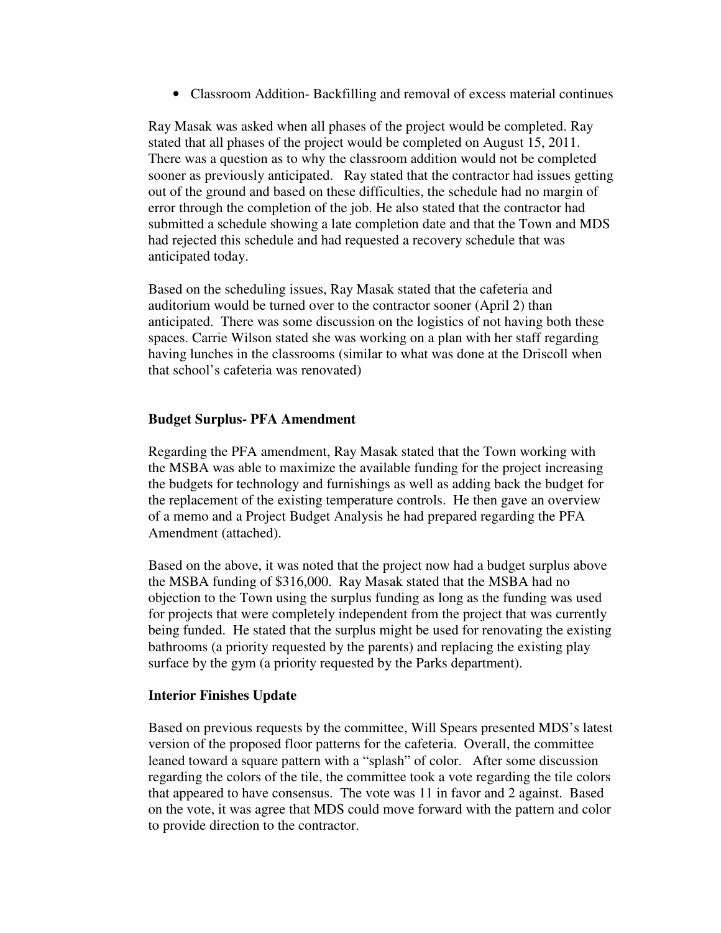• Classroom Addition- Backfilling and removal of excess material continues

Ray Masak was asked when all phases of the project would be completed. Ray stated that all phases of the project would be completed on August 15, 2011. There was a question as to why the classroom addition would not be completed sooner as previously anticipated. Ray stated that the contractor had issues getting out of the ground and based on these difficulties, the schedule had no margin of error through the completion of the job. He also stated that the contractor had submitted a schedule showing a late completion date and that the Town and MDS had rejected this schedule and had requested a recovery schedule that was anticipated today.

Based on the scheduling issues, Ray Masak stated that the cafeteria and auditorium would be turned over to the contractor sooner (April 2) than anticipated. There was some discussion on the logistics of not having both these spaces. Carrie Wilson stated she was working on a plan with her staff regarding having lunches in the classrooms (similar to what was done at the Driscoll when that school's cafeteria was renovated)

# **Budget Surplus- PFA Amendment**

Regarding the PFA amendment, Ray Masak stated that the Town working with the MSBA was able to maximize the available funding for the project increasing the budgets for technology and furnishings as well as adding back the budget for the replacement of the existing temperature controls. He then gave an overview of a memo and a Project Budget Analysis he had prepared regarding the PFA Amendment (attached).

Based on the above, it was noted that the project now had a budget surplus above the MSBA funding of \$316,000. Ray Masak stated that the MSBA had no objection to the Town using the surplus funding as long as the funding was used for projects that were completely independent from the project that was currently being funded. He stated that the surplus might be used for renovating the existing bathrooms (a priority requested by the parents) and replacing the existing play surface by the gym (a priority requested by the Parks department).

# **Interior Finishes Update**

Based on previous requests by the committee, Will Spears presented MDS's latest version of the proposed floor patterns for the cafeteria. Overall, the committee leaned toward a square pattern with a "splash" of color. After some discussion regarding the colors of the tile, the committee took a vote regarding the tile colors that appeared to have consensus. The vote was 11 in favor and 2 against. Based on the vote, it was agree that MDS could move forward with the pattern and color to provide direction to the contractor.